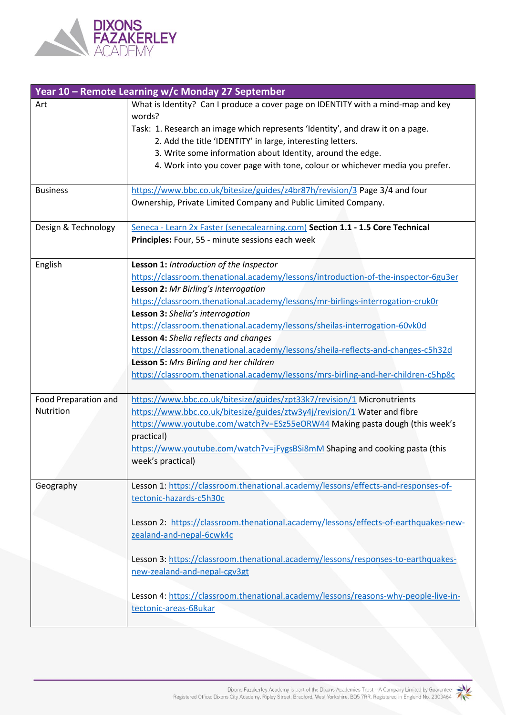

| Year 10 - Remote Learning w/c Monday 27 September |                                                                                     |
|---------------------------------------------------|-------------------------------------------------------------------------------------|
| Art                                               | What is Identity? Can I produce a cover page on IDENTITY with a mind-map and key    |
|                                                   | words?                                                                              |
|                                                   | Task: 1. Research an image which represents 'Identity', and draw it on a page.      |
|                                                   | 2. Add the title 'IDENTITY' in large, interesting letters.                          |
|                                                   | 3. Write some information about Identity, around the edge.                          |
|                                                   | 4. Work into you cover page with tone, colour or whichever media you prefer.        |
|                                                   |                                                                                     |
| <b>Business</b>                                   | https://www.bbc.co.uk/bitesize/guides/z4br87h/revision/3 Page 3/4 and four          |
|                                                   | Ownership, Private Limited Company and Public Limited Company.                      |
|                                                   |                                                                                     |
| Design & Technology                               | Seneca - Learn 2x Faster (senecalearning.com) Section 1.1 - 1.5 Core Technical      |
|                                                   | Principles: Four, 55 - minute sessions each week                                    |
|                                                   |                                                                                     |
| English                                           | Lesson 1: Introduction of the Inspector                                             |
|                                                   | https://classroom.thenational.academy/lessons/introduction-of-the-inspector-6gu3er  |
|                                                   | Lesson 2: Mr Birling's interrogation                                                |
|                                                   | https://classroom.thenational.academy/lessons/mr-birlings-interrogation-cruk0r      |
|                                                   | Lesson 3: Shelia's interrogation                                                    |
|                                                   | https://classroom.thenational.academy/lessons/sheilas-interrogation-60vk0d          |
|                                                   | Lesson 4: Shelia reflects and changes                                               |
|                                                   | https://classroom.thenational.academy/lessons/sheila-reflects-and-changes-c5h32d    |
|                                                   | Lesson 5: Mrs Birling and her children                                              |
|                                                   | https://classroom.thenational.academy/lessons/mrs-birling-and-her-children-c5hp8c   |
|                                                   |                                                                                     |
| Food Preparation and                              | https://www.bbc.co.uk/bitesize/guides/zpt33k7/revision/1 Micronutrients             |
| Nutrition                                         | https://www.bbc.co.uk/bitesize/guides/ztw3y4j/revision/1 Water and fibre            |
|                                                   | https://www.youtube.com/watch?v=ESz55eORW44 Making pasta dough (this week's         |
|                                                   | practical)                                                                          |
|                                                   | https://www.youtube.com/watch?v=jFygsBSi8mM Shaping and cooking pasta (this         |
|                                                   | week's practical)                                                                   |
|                                                   |                                                                                     |
| Geography                                         | Lesson 1: https://classroom.thenational.academy/lessons/effects-and-responses-of-   |
|                                                   | tectonic-hazards-c5h30c                                                             |
|                                                   |                                                                                     |
|                                                   | Lesson 2: https://classroom.thenational.academy/lessons/effects-of-earthquakes-new- |
|                                                   | zealand-and-nepal-6cwk4c                                                            |
|                                                   |                                                                                     |
|                                                   | Lesson 3: https://classroom.thenational.academy/lessons/responses-to-earthquakes-   |
|                                                   | new-zealand-and-nepal-cgv3gt                                                        |
|                                                   |                                                                                     |
|                                                   | Lesson 4: https://classroom.thenational.academy/lessons/reasons-why-people-live-in- |
|                                                   | tectonic-areas-68ukar                                                               |
|                                                   |                                                                                     |